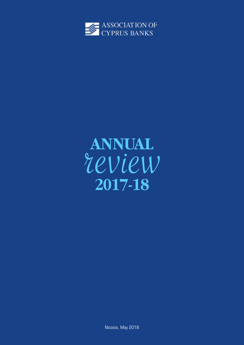

# review **ANNUAL 2017-18**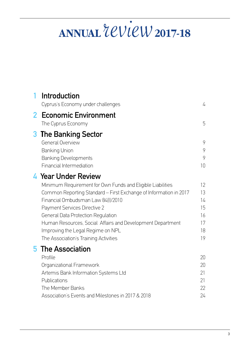# **ANNUAL**  $2CView_{2017-18}$

| <b>Introduction</b><br>Cyprus's Economy under challenges                                                                                                                                                                                                                                                                                                                                                       | 4                                            |
|----------------------------------------------------------------------------------------------------------------------------------------------------------------------------------------------------------------------------------------------------------------------------------------------------------------------------------------------------------------------------------------------------------------|----------------------------------------------|
| <b>Economic Environment</b><br>The Cyprus Economy                                                                                                                                                                                                                                                                                                                                                              | 5                                            |
| <b>The Banking Sector</b><br><b>General Overview</b><br><b>Banking Union</b><br><b>Banking Developments</b><br><b>Financial Intermediation</b>                                                                                                                                                                                                                                                                 | 9<br>9<br>9<br>10                            |
| 4 Year Under Review<br>Minimum Requirement for Own Funds and Eligible Liabilities<br>Common Reporting Standard – First Exchange of Information in 2017<br>Financial Ombudsman Law 84(I)/2010<br>Payment Services Directive 2<br>General Data Protection Regulation<br>Human Resources, Social Affairs and Development Department<br>Improving the Legal Regime on NPL<br>The Association's Training Activities | 12<br>13<br>14<br>15<br>16<br>17<br>18<br>19 |
| <b>5</b> The Association<br>Profile<br>Organizational Framework<br>Artemis Bank Information Systems Ltd<br>Publications<br>The Member Banks<br>Association's Events and Milestones in 2017 & 2018                                                                                                                                                                                                              | 20<br>20<br>21<br>21<br>22<br>24             |
|                                                                                                                                                                                                                                                                                                                                                                                                                |                                              |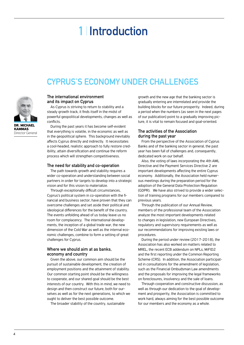# **1 Introduction**

# **Cyprus's Economy under challenges**



**Kammas** Director General

#### **The international environment and its impact on Cyprus**

As Cyprus is striving to return to stability and a steady growth track, it finds itself in the midst of powerful geopolitical developments, changes as well as conflicts.

During the past years it has become self-evident that everything is volatile, in the economic as well as in the geopolitical sphere. This background inevitably affects Cyprus directly and indirectly. It necessitates a cool-headed, realistic approach to fully restore credibility, attain diversification and continue the reform process which will strengthen competitiveness.

#### **The need for stability and co-operation**

The path towards growth and stability requires a wider co-operation and understanding between social partners in order for targets to develop into a strategic vision and for this vision to materialize.

Through exceptionally difficult circumstances, Cyprus's political system in co-operation with the financial and business sector, have proven that they can overcome challenges and set aside their political and ideological differences for the benefit of the country. The events unfolding ahead of us today leave us no room for complacency. The international developments, the inception of a global trade war, the new dimension of the Cold War as well as the internal economic challenges, combine to form a setting of great challenges for Cyprus.

#### **Where we should aim at as banks, economy and country**

Given the above, our common aim should be the pursuit of sustainable development, the creation of employment positions and the attainment of stability. Our common starting point should be the willingness to cooperate, and our shared goal should be the best interests of our country. With this in mind, we need to design and then construct our future, both for ourselves as well as for the next generations, to which we ought to deliver the best possible outcome.

The broader stability of the country, sustainable

growth and the new age that the banking sector is gradually entering are interrelated and provide the building blocks for our future prosperity. Indeed, during a period when the numbers (as seen in the next pages of our publication) point to a gradually improving picture, it is vital to remain focused and goal-oriented.

#### **The activities of the Association during the past year**

From the perspective of the Association of Cyprus Banks and of the banking sector in general, the past year has been full of challenges and, consequently, dedicated work on our behalf.

Also, the voting of laws incorporating the 4th AML Directive and the Payment Services Directive 2 are important developments affecting the entire Cyprus economy. Additionally, the Association held numerous meetings during the preparation period for the adoption of the General Data Protection Regulation (GDPR). We have also strived to provide a wider selection of training programs for our members compared to previous years.

Through the publication of our Annual Review, members of the professional team of the Association analyze the most important developments related to changes in legislation, new European Directives, regulatory and supervisory requirements as well as our recommendations for improving existing laws or procedures.

During the period under review (2017-2018), the Association has also worked on matters related to MREL, the recent ECB addendum on NPLs, MiEID2 and the first reporting under the Common Reporting Scheme (CRS). In addition, the Association participated in consultations for the amendment of legislation, such as the Financial Ombudsman Law amendments and the proposals for improving the legal frameworks on foreclosures, insolvency and the sale of loans.

Through cooperation and constructive discussion, as well as through our dedication to the goal of development and prosperity, the Association is committed to work hard, always aiming for the best possible outcome for our members and the economy as a whole.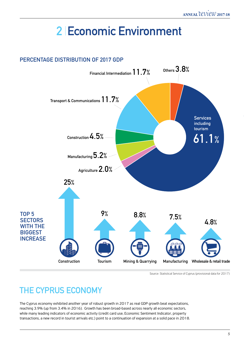# **2 Economic Environment**

### **Percentage DistrIbution of 2017 GDP 61.1% Services including tourism Financial Intermediation 11.7% Construction 4.5% Transport & Communications 11.7% Manufacturing 5.2% Agriculture 2.0% Others 3.8% TOP 5 SECTORS WITH THE BIGGEST INCREASE Construction 25% Tourism 9% Mining & Quarrying 8.8% Manufacturing Wholesale & retail trade 7.5% 4.8%**

Source: Statistical Service of Cyprus (provisional data for 2017)

# **The Cyprus Economy**

The Cyprus economy exhibited another year of robust growth in 2017 as real GDP growth beat expectations, reaching 3.9% (up from 3.4% in 2016). Growth has been broad-based across nearly all economic sectors, while many leading indicators of economic activity (credit card use, Economic Sentiment Indicator, property transactions, a new record in tourist arrivals etc.) point to a continuation of expansion at a solid pace in 2018.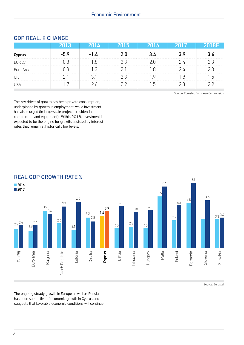|               |  | נכון, |  |  |
|---------------|--|-------|--|--|
| Cyprus        |  |       |  |  |
| <b>EUR 28</b> |  |       |  |  |
| Euro Area     |  |       |  |  |
| UK            |  |       |  |  |
|               |  |       |  |  |

#### **GDP Real, % Change**

Source: Eurostat, European Commission

The key driver of growth has been private consumption, underpinned by growth in employment, while investment has also surged (in large-scale projects, residential construction and equipment). Within 2018, investment is expected to be the engine for growth, assisted by interest rates that remain at historically low levels.



Source: Eurostat

The ongoing steady growth in Europe as well as Russia has been supportive of economic growth in Cyprus and suggests that favorable economic conditions will continue.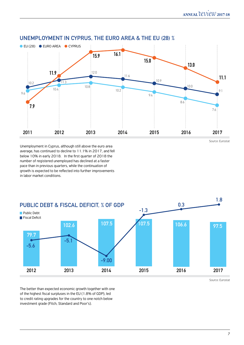

#### **Unemployment in Cyprus, the Euro area & the EU (28) %**

Unemployment in Cyprus, although still above the euro area average, has continued to decline to 11.1% in 2017, and fell below 10% in early 2018. In the first quarter of 2018 the number of registered unemployed has declined at a faster pace than in previous quarters, while the continuation of growth is expected to be reflected into further improvements in labor market conditions.



Source: Eurostat

Source: Eurostat

The better than expected economic growth together with one of the highest fiscal surpluses in the EU (1.8% of GDP), led to credit rating upgrades for the country to one notch below investment grade (Fitch, Standard and Poor's).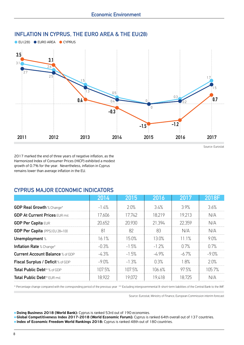

**Inflation in Cyprus, the Euro area & the EU(28)**

Source: Eurostat

2017 marked the end of three years of negative inflation, as the Harmonized Index of Consumer Prices (HICP) exhibited a modest growth of 0.7% for the year. Nevertheless, inflation in Cyprus remains lower than average inflation in the EU.

#### **CYPRUS MAJOR ECONOMIC INDICATORS**

|                                         | 2014         | 2015    | 2016     | 2017         | 2018      |
|-----------------------------------------|--------------|---------|----------|--------------|-----------|
| <b>GDP Real Growth % Change*</b>        | $-1.4%$      | 2.0%    | 3.4%     | 3.9%         | 3.6%      |
| <b>GDP At Current Prices EUR mil.</b>   | 17.606       | 17.742  | 18.219   | 19.213       | N/A       |
| <b>GDP Per Capita EUR</b>               | 20.652       | 20.930  | 21.394   | 22359        | NI/A      |
| <b>GDP Per Capita</b> (PPS) EU 28=100   | $\mathsf{B}$ | 82      | 83       | N/A          | N/A       |
| Unemployment %                          | 16.1%        | 15 በ%   | 13.0%    | $11.1\%$     | 9 በ%      |
| <b>Inflation Rate % Change*</b>         | -0.3%        | $-1.5%$ | $-1.2\%$ | $\bigcap$ 7% | $\cap$ 7% |
| <b>Current Account Balance % of GDP</b> | -43%         | $-1.5%$ | -4 9%    | -6.7%        | $-9.0%$   |
| Fiscal Surplus / Deficit % of GDP       | $-9.0\%$     | $-1.3%$ | 0.3%     | 18%          | 20%       |
| <b>Total Public Debt**</b> % of GDP     | 107.5%       | 107.5%  | 106.6%   | 97.5%        | 1በ5 7%    |
| <b>Total Public Debt**</b> FUR mil.     | 18 922       | 19 072  | 19418    | 18 725       |           |

\* Percentage change compared with the corresponding period of the previous year \*\* Excluding intergovernmental & short-term liabilities of the Central Bank to the IMF.

Source: Eurostat, Ministry of Finance, European Commission interim forecast

**. Doing Business 2018 (World Bank):** Cyprus is ranked 53rd out of 190 economies.

**Global Competitiveness Index 2017-2018 (World Economic Forum):** Cyprus is ranked 64th overall out of 137 countries. **Index of Economic Freedom World Rankings 2018:** Cyprus is ranked 48th out of 180 countries.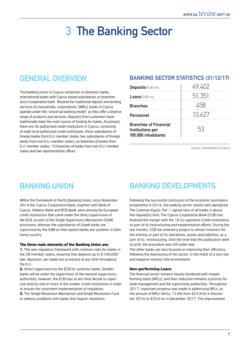# **3 The Banking Sector**

### **General Overview**

The banking sector in Cyprus comprises of domestic banks, international banks with Cyprus based subsidiaries or branches and a cooperative bank. Beyond the traditional deposit and lending services (to households, corporations, SMEs), banks in Cyprus operate under the "universal banking model" as they offer a diverse range of products and services. Deposits from customers have traditionally been the main source of funding for banks. At present, there are 36 authorized credit institutions in Cyprus, consisting of eight local authorized credit institutions, three subsidiaries of foreign banks from E.U. member states, two subsidiaries of foreign banks from non-E.U. member states, six branches of banks from E.U. member states, 15 branches of banks from non-E.U. member states and two representative offices.

#### **Banking Sector Statistics (31/12/17)**

| <b>Deposits EUR mil.</b>                                                | 49,402 |
|-------------------------------------------------------------------------|--------|
| <b>Loans</b> EUR mil.                                                   | 51,351 |
| <b>Branches</b>                                                         |        |
| Personnel                                                               | 10.627 |
| <b>Branches of Financial</b><br>Institutions per<br>100,000 inhabitants | 53     |

Source: Central Bank of Cyprus

Within the framework of the EU Banking Union, since November 2014 the Cyprus Cooperative Bank, together with Bank of Cyprus, Hellenic Bank and RCB Bank, were among the European credit institutions that came under the direct supervision of the ECB, as part of the Single Supervisory Mechanism (SSM) provisions, whereas the subsidiaries of Greek banks are supervised by the SSM as their parent banks are systemic in their home country.

#### **The three main elements of the Banking Union are:**

**1.** The new regulatory framework with common rules for banks in the 28 member states, ensuring that deposits up to €100,000 (per depositor, per bank) are protected at any time throughout the E.U.

**2.** Direct supervision by the ECB for systemic banks. Smaller banks will be under the supervision of the national supervisory authorities, however, the ECB may at any time decide to supervise directly one or more of the smaller credit institutions in order to ensure the consistent implementation of regulation.

**3.** The Single Resolution Mechanism and Single Resolution Fund to address problems with banks that require resolution.

# **Banking Union Banking Developments**

Following the successful conclusion of the economic assistance programme in 2016, the banking sector stands well capitalized. The Common Equity Tier 1 capital ratio of all banks is above the regulatory limit. The Cyprus Cooperative Bank (CCB) has finalized the merger with the 18 Co-operative Credit Institutions as part of its restructuring and modernisation efforts. During the last months, CCB has entered a project to attract investors for the entirety or part of its operations, assets and liabilities, as a part of its restructuring. Until the time that this publication went to print, the procedure was still under way.

The other banks are also focused on improving their efficiency following the downsizing of the sector, in the midst of a very low and negative interest rate environment.

#### **Non-performing Loans**

The financial sector remains heavily burdened with nonperforming loans (NPLs), and their reduction remains a priority for bank management and the supervising authorities. Throughout 2017, important progress was made in addressing NPLs, as the amount of NPLs fell by 13.4% from €23.8 bn in December 2016 to €20.6 bn in December 2017. The improvement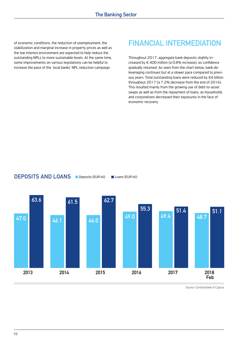of economic conditions, the reduction of unemployment, the stabilization and marginal increase in property prices as well as the low interest environment are expected to help reduce the outstanding NPLs to more sustainable levels. At the same time, some improvements on various legislations can be helpful to increase the pace of the local banks' NPL reduction campaign.

## **Financial Intermediation**

Throughout 2017, aggregate bank deposits slightly increased by € 400 million (a 0.8% increase), as confidence gradually returned. As seen from the chart below, bank deleveraging continues but at a slower pace compared to previous years. Total outstanding loans were reduced by €4 billion throughout 2017 (a 7.2% decrease from the end of 2016). This resulted mainly from the growing use of debt-to-asset swaps as well as from the repayment of loans, as households and corporations decreased their exposures in the face of economic recovery.

#### **Deposits and Loans** Deposits (EUR bil) Loans (EUR bil)



Source: Central Bank of Cyprus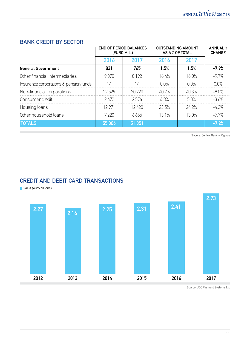#### **Bank Credit by Sector**

|                                        |         | <b>END OF PERIOD BALANCES</b><br>(EURO MIL.) | OUTSTANDING AMOUNT<br>AS A % OF TOTAL | <b>ANNUAL %</b><br><b>CHANGE</b> |                     |
|----------------------------------------|---------|----------------------------------------------|---------------------------------------|----------------------------------|---------------------|
|                                        | 2016    | 2017                                         | 2016                                  | 2017                             |                     |
| <b>General Government</b>              | 831     | 765                                          | 1.5%                                  | 1.5%                             | $-7.9%$             |
| Other financial intermediaries         | 9 N 7 N | 8.192                                        | 164%                                  | $16.0\%$                         | $-97%$              |
| Insurance corporations & pension funds |         | ᠘                                            | $\cap \cap \%$                        | $\cap$ $\cap\%$                  | $\bigcap \bigcap$ % |
| Non-financial corporations             | 22.529  | 20.720                                       | 40.7%                                 | 40.3%                            | $-8.0%$             |
| Consumer credit                        | 2672    | 2576                                         | 48%                                   | 5.0%                             | $-36%$              |
| Housing loans                          | 12971   | 12.420                                       | 23.5%                                 | 24.2%                            | $-4.2\%$            |
| Other household loans                  | 7 220   | 6.665                                        | 131%                                  | 13 በ%                            | $-77\%$             |
| <b>TOTALS</b>                          | 55,306  | 51.351                                       |                                       |                                  | $-7.2%$             |

Source: Central Bank of Cyprus

#### **Credit and Debit Card Transactions**

**Value (euro billions)** 



Source: JCC Payment Systems Ltd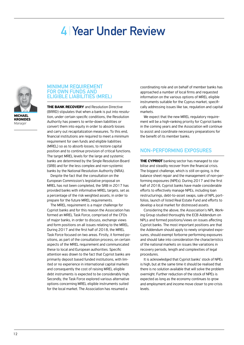# **4 Year Under Review**



**Michael Kronides** Manager

#### **Minimum Requirement for Own Funds and Eligible Liabilities (MREL)**

**The Bank Recovery** and Resolution Directive (BRRD) stipulates that when a bank is put into resolution, under certain specific conditions, the Resolution Authority has powers to write-down liabilities or convert them into equity in order to absorb losses and carry out recapitalization measures. To this end, financial institutions are required to meet a minimum requirement for own funds and eligible liabilities (MREL) so as to absorb losses, to restore capital position and to continue provision of critical functions. The target MREL levels for the large and systemic banks are determined by the Single Resolution Board (SRB) and for the less complex and non-systemic banks by the National Resolution Authority (NRA).

Despite the fact that the consultation on the European Commission's legislative proposal on MREL has not been completed, the SRB in 2017 has provided banks with informative MREL targets, set as a percentage of the risk weighted assets, in order to prepare for the future MREL requirements.

The MREL requirement is a major challenge for Cypriot banks and for this reason the Association has formed an MREL Task Force, comprised of the CFOs of major banks, in order to discuss, exchange views and form positions on all issues relating to the MREL. During 2017 and the first half of 2018, the MREL Task Force focused on two areas. Firstly, it formed positions, as part of the consultation process, on certain aspects of the MREL requirement and communicated these to local and European authorities. Specific attention was drawn to the fact that Cypriot banks are primarily deposit based funded institutions, with limited or no experience in international capital markets and consequently the cost of raising MREL eligible debt instruments is expected to be considerably high. Secondly, the Task Force explored various alternative options concerning MREL eligible instruments suited for the local market. The Association has resumed a

coordinating role and on behalf of member banks has approached a number of local firms and requested information on the various options of MREL eligible instruments suitable for the Cyprus market, specifically addressing issues like tax, regulation and capital markets.

We expect that the new MREL regulatory requirement will be a high-ranking priority for Cypriot banks in the coming years and the Association will continue to assist and coordinate necessary preparations for the benefit of its member banks.

#### **Non-performing exposures**

**THE CYPRIOT** banking sector has managed to stabilise and steadily recover from the financial crisis. The biggest challenge, which is still on-going, is the balance sheet repair and the management of non-performing exposures (NPEs). During 2017 and the first half of 2018, Cypriot banks have made considerable efforts to effectively manage NPEs, including loan restructurings, debt-to-asset swaps, sale of NPL portfolios, launch of listed Real Estate Fund and efforts to develop a local market for distressed assets.

Considering the above, the Association's NPL Working Group studied thoroughly the ECB Addendum on NPLs and formed positions/views on issues affecting Cypriot banks. The most important positions are that the Addendum should apply to newly originated exposures, should exempt forborne performing exposures and should take into consideration the characteristics of the national markets on issues like variations in recovery periods, length and complexities of legal procedures.

It is acknowledged that Cypriot banks' stock of NPEs is high, but at the same time it should be realised that there is no solution available that will solve the problem overnight. Further reduction of the stock of NPEs is expected as long as the economy continues to grow and employment and income move closer to pre-crisis levels.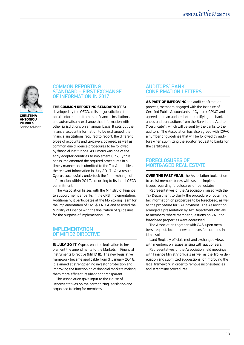

Senior Advisor

#### **Common Reporting Standard – First Exchange of Information in 2017**

**The Common Reporting Standard** (CRS),

developed by the OECD, calls on jurisdictions to obtain information from their financial institutions and automatically exchange that information with other jurisdictions on an annual basis. It sets out the financial account information to be exchanged, the financial institutions required to report, the different types of accounts and taxpayers covered, as well as common due diligence procedures to be followed by financial institutions. As Cyprus was one of the early adopter countries to implement CRS, Cyprus banks implemented the required procedures in a timely manner and submitted to the Tax Authorities the relevant information in July 2017. As a result, Cyprus successfully undertook the first exchange of information within 2017, according to its initial OECD commitment.

The Association liaises with the Ministry of Finance to support member banks in the CRS implementation. Additionally, it participates at the Monitoring Team for the implementation of CRS & FATCA and assisted the Ministry of Finance with the finalization of guidelines for the purpose of implementing CRS.

#### **Implementation of MiFID2 Directive**

**In July 2017**, Cyprus enacted legislation to implement the amendments to the Markets in Financial Instruments Directive (MiFID II). The new legislative framework became applicable from 3 January 2018. It is aimed at strengthening investor protection and improving the functioning of financial markets making them more efficient, resilient and transparent.

The Association gave input to the House of Representatives on the harmonizing legislation and organized training for members.

#### **Auditors' Bank Confirmation Letters**

**AS PART OF IMPROVING** the audit confirmation process, members engaged with the Institute of Certified Public Accountants of Cyprus (ICPAC) and agreed upon an updated letter certifying the bank balances and transactions from the Bank to the Auditor ("certificate"), which will be sent by the banks to the auditors. The Association has also agreed with ICPAC a number of guidelines that will be followed by auditors when submitting the auditor request to banks for the certificates.

#### **Foreclosures of mortgaged real estate**

**OVER THE PAST YEAR**, the Association took action to assist member banks with several implementation issues regarding foreclosures of real estate:

Representatives of the Association liaised with the Tax Department to clarify the procedure of obtaining tax information on properties to be foreclosed, as well as the procedure for VAT payment. The Association arranged a presentation by Tax Department officials to members, where member questions on VAT and foreclosed properties were addressed.

The Association together with G4S, upon members' request, located new premises for auctions in Limassol.

Land Registry officials met and exchanged views with members on issues arising with auctioneers.

Representatives of the Association held meetings with Finance Ministry officials as well as the Troika delegation and submitted suggestions for improving the legal framework in order to remove inconsistencies and streamline procedures.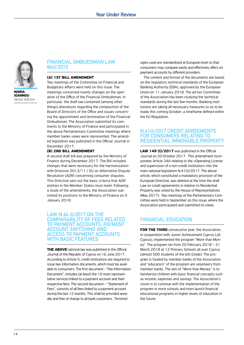

**Maria Ioannou** Senior Advisor

#### **Financial Ombudsman Law 84(I)/2010**

#### **(a) 1st Bill amendment**

Two meetings of the Committee on Financial and Budgetary Affairs were held on this issue. The meetings concerned mainly changes on the operation of the Office of the Financial Ombudsman. In particular, the draft law contained (among other things) alterations regarding the composition of the Board of Directors of the Office and issues concerning the appointment and termination of the Financial Ombudsman. The Association submitted its comments to the Ministry of Finance and participated in the above Parliamentary Committee meetings where member banks views were represented. The amended legislation was published in the Official Journal in December 2017.

#### **(b) 2nd Bill Amendment**

A second draft bill was prepared by the Ministry of Finance during December 2017. The Bill included changes that were necessary for the harmonization with Directive 2013/11 / EU on Alternative Dispute Resolution (ADR) concerning consumer disputes. This Directive sets out the basic criteria that ADR entities in the Member States must meet. Following a study of the amendments, the Association submitted its positions to the Ministry of Finance on 5 January 2018.

**Law N.64 (I)/2017 on the comparability of fees related to payment accounts, payment account switching and access to payment accounts with basic features**

**THE ABOVE** national law was published in the Official Journal of the Republic of Cyprus on 16 June 2017. According to Article 5, credit institutions are required to issue two information documents, which must be available to consumers. The first document - "Fee Information Document", includes (at least) the 10 most representative services linked to a payment account and their respective fees. The second document – "Statement of Fees", consists of all fees linked to a payment account during the last 12 months. This shall be provided annually and free of charge to all bank customers. Terminol-

ogies used are standardized at European level so that consumers may compare easily and effectively offers on payment accounts by different providers.

The content and format of the documents are based on the regulatory technical standards of the European Banking Authority (EBA), approved by the European Union on 11 January 2018. The ad hoc Committee of the Association has been studying the technical standards during the last few months. Banking institutions are taking all necessary measures so as to be ready this coming October, a timeframe defined within the EU Regulation.

#### **N.41(I)/2017 Credit agreements for consumers relating to residential immovable property**

**Law 149 (I)/2017** was published in the Official Journal on 20 October 2017. This amendment incorporates Article 34A relating to the «Operating License and supervision of a non-credit institution» into the main national legislation N.41(I)/2017. The above article, which constituted a mandatory provision of the European Directive, was deleted at the time the draft Law on credit agreements in relation to Residential Property was voted by the House of Representatives (May 2017). Two meetings of the Parliamentary Committee were held in September on this issue, where the Association participated and submitted its views.

#### **Financial Education**

**FOR THE THIRD** consecutive year, the Association, in cooperation with Junior Achievement Cyprus (JA Cyprus), implemented the program "More than Money". The program ran from 20 February 2018 – 31 March 2018 at 12 Primary Schools all over Cyprus (almost 500 students of the 6th Grade). The program is funded by member banks of the Association and "educators" of the program are volunteers from member banks. The aim of "More than Money" is to familiarize children with basic financial concepts such as income, expenses and savings. The Association's vision is to continue with the implementation of the program in more schools and even launch financial educational programs in higher levels of education in the future.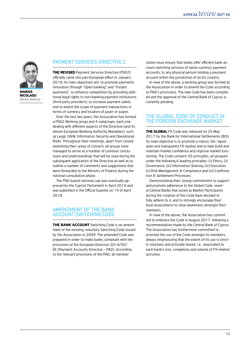

**Nicolaou** Senior Advisor

#### **Payment Services Directive 2**

**THE REVISED** Payment Services Directive (PSD2) officially came into pan-European effect in January 2018. Its main objectives are: to promote payments innovation through "Open banking" and "Instant payments", to enhance competition by providing additional legal rights to non-banking payment institutions (third party providers), to increase payment safety and to extent the scope of payment transactions in terms of currency and location of payer or payee.

Over the last two years, the Association has formed a PSD2 Working group and 4 subgroups, each one dealing with different aspects of the Directive (and its eleven European Banking Authority Mandates), such as Legal, O&M, Information Security and Operational Risks. Throughout their meetings, apart from closely examining their areas of concern, all groups have managed to arrive at a number of common conclusions and understandings that will be used during the subsequent application of the Directive as well as to outline a number of comments and suggestions that were forwarded to the Ministry of Finance during the national consultation phase.

The PSD-based national Law was eventually approved by the Cypriot Parliament in April 2018 and was published in the Official Gazette on 19 of April 2018.

#### **Amendment of the Bank Account Switching Code**

**The Bank Account** Switching Code is an amendment of the existing, voluntary Switching Code issued by the Association in 2009. The amended Code was prepared in order to make banks compliant with the provisions of the European Directive 2014/92/ EE (Payment Accounts Directive – PAD). According to the relevant provisions of the PAD, all member

states must ensure that banks offer efficient bank-account switching services of same-currency payment accounts, to any physical person holding a payment account within the jurisdiction of an EU country.

In view of the above, a working group was formed at the Association in order to amend the Code according to PAD's provisions. The new Code has been completed and the approval of the Central Bank of Cyprus is currently pending.

#### **The Global Code of Conduct in the Foreign Exchange market**

**THE GLOBAL** FX Code was released on 25 May 2017 by the Bank for International Settlements (BIS). Its main objective is to promote a robust, fair, liquid, open and transparent FX market and to help build and maintain market confidence and improve market functioning. The Code contains 55 principles, all grouped under the following 6 leading principles: (i) Ethics, (ii) Governance, (iii) Information Sharing, (iv) Execution, (v) Risk Management & Compliance and (vi) Confirmation & Settlement Processes.

Demonstrating their strong commitment to support and promote adherence to the Global Code, several Central Banks that acted as Market Participants during the creation of the Code have decided to fully adhere to it, and to strongly encourage their local associations to raise awareness amongst their members.

In view of the above, the Association has committed to embrace the Code in August 2017, following a recommendation made by the Central Bank of Cyprus. The Association has furthermore committed to promote the use of the Code amongst its members, always emphasizing that the extent of its use is strictly voluntary and principle-based, i.e. associated to each bank's size, complexity and volume of FX-related activities.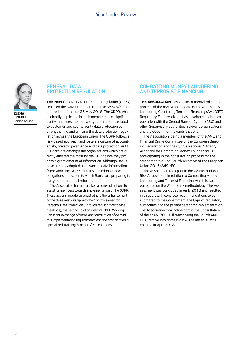

**ELENA Frixou** Senior Advisor

**Protection Regulation**

**General Data**

**The new** General Data Protection Regulation (GDPR) replaced the Data Protection Directive 95/46/EC and entered into force on 25 May 2018. The GDPR, which is directly applicable in each member state, significantly increases the regulatory requirements related to customer and counterparty data protection by strengthening and unifying the data protection regulation across the European Union. The GDPR follows a risk-based approach and fosters a culture of accountability, privacy governance and data protection audit.

Banks are amongst the organisations which are directly affected the most by the GDPR since they process a great amount of information. Although Banks have already adopted an advanced data information framework, the GDPR contains a number of new obligations in relation to which Banks are preparing to carry out operational reforms.

The Association has undertaken a series of actions to assist its members towards implementation of the GDPR. These actions include amongst others the enhancement of the close relationship with the Commissioner for Personal Data Protection ( through regular face to face meetings), the setting up of an internal GDPR Working Group for exchange of views and formulation of de minimis implementation requirements and the organisation of specialized Training/Seminars/Presentations.

#### **Combatting Money Laundering and Terrorist Financing**

**THE ASSOCIATION** plays an instrumental role in the process of the review and update of the Anti-Money Laundering Countering Terrorist Financing (AML/CFT) Regulatory Framework and has developed a close cooperation with the Central Bank of Cyprus (CBC) and other Supervisory authorities, relevant organisations and the Government towards that end.

The Association, being a member of the AML and Financial Crime Committee of the European Banking Federation and the Cyprus National Advisory Authority for Combating Money Laundering, is participating in the consultation process for the amendments of the Fourth Directive of the European Union 2015/849 /EC.

The Association took part in the Cyprus National Risk Assessment in relation to Combatting Money Laundering and Terrorist Financing, which is carried out based on the World Bank methodology. The Assessment was concluded in early 2018 and resulted in a report with concrete recommendations to be submitted to the Government, the Cypriot regulatory authorities and the private sector for implementation. The Association took active part in the Consultation of the soAML/CFT Bill transposing the Fourth AML EU Directive into domestic law. The latter Bill was enacted in April 2018.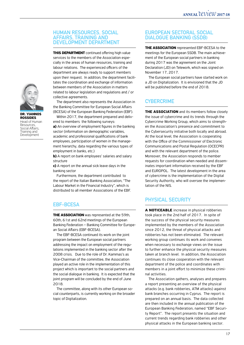#### **Human Resources, Social Affairs, Training and Development Department**

**THIS DEPARTMENT** continued offering high value services to the members of the Association especially in the areas of human resources, training and labour relations. The experienced officers of the department are always ready to support members upon their request. In addition, the department facilitates the coordination and exchange of information between members of the Association in matters related to labour legislation and regulations and / or collective agreements.

The department also represents the Association in the Banking Committee for European Social Affairs (BCESA) of the European Banking Federation (EBF).

Within 2017, the department prepared and delivered to members the following surveys: **a)** An overview of employment figures in the banking sector (information on demographic variables, academic and professional qualifications of bank employees, participation of women in the management hierarchy, data regarding the various types of employment in banks, etc.)

**b)** A report on bank employees' salaries and salary structure

**c)** A report on the annual sick leave days in the banking sector

Furthermore, the department contributed to the report of the Italian Banking Association, "The Labour Market in the Financial Industry", which is distributed to all member Associations of the EBF.

#### **EBF-BCESA**

**The Association** was represented at the 59th, 60th, 61st and 62nd meetings of the European Banking Federation – Banking Committee for European Social Affairs (EBF-BCESA).

The EBF-BCESA continued its work on the joint program between the European social partners addressing the impact on employment of the regulations implemented in the banking sector after the 2008 crisis. Due to the role of Dr. Kammas's as Vice-Chairman of the committee, the Association played an active role in the implementation of this project which is important to the social partners and the social dialogue in banking. It is expected that the joint program will be concluded by the end of June 2018.

The committee, along with its other European social counterparts, is currently working on the broader topic of Digitalization.

#### **European Sectoral Social Dialogue Banking (SSDB)**

**The Association** represented EBF-BCESA to the meetings for the European SSDB. The main achievement of the European social partners in banking during 2017 was the agreement on the Joint Declaration (JD) on Telework, which was signed on November 17, 2017.

The European social partners have started work on a JD on Digitalization. It is envisioned that the JD will be published before the end of 2018.

#### **Cybercrime**

**THE ASSOCIATION** and its members follow closely the issue of cybercrime and its trends through the Cybercrime Working Group, which aims to strengthen the Association's presence and commitment to the Cybersecurity initiative both locally and abroad. At the local level, the Association is cooperating with the Office of the Commissioner of Electronic Communications and Postal Regulation (OCECPR) and with the relevant department of the police. Moreover, the Association responds to member requests for coordination when needed and disseminates important information received by the EBF and EUROPOL. The latest development in the area of cybercrime is the implementation of the Digital Security Authority, who will oversee the implementation of the NIS.

#### **Physical Security**

**A noticeable** increase in physical robberies took place in the 2nd half of 2017. In spite of the success of the physical security measures implemented by the members of the Association since 2012, the threat of physical attacks and robberies has not been eliminated. The relevant working group continues its work and convenes when necessary to exchange views on the issue to further enhance the physical security measures taken at branch level. In addition, the Association continues its close cooperation with the relevant department of the police and coordinates with members in a joint effort to minimize these criminal activities.

The Association gathers, analyses and prepares a report presenting an overview of the physical attacks (e.g. bank robberies, ATM attacks) against bank branches occurring in Cyprus. The report is prepared on an annual basis. The data collected are then included in the annual publication of the European Banking Federation, named "EBF Security Report". The report presents the situation and current trends regarding bank robberies and other physical attacks in the European banking sector.



**Dr. Yiannos Rossides** Head of Human Resources, Social Affairs, Training and Development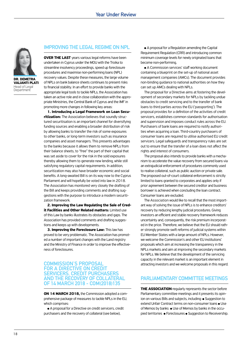

**Dr. Demetra Valianti Plati** Head of Legal Department

#### **Improving the Legal Regime on NPL**

**OVER THE LAST** years various legal reforms have been undertaken in Cyprus under the MOU with the Troika to streamline insolvency proceedings, speed up foreclosure procedures and maximise non-performing loans (NPL) recovery values. Despite these measures, the large volume of NPLs on bank balance sheets continues to present risks to financial stability. In an effort to provide banks with the appropriate legal tools to tackle NPLs, the Association has taken an active role and in close collaboration with the appropriate Ministries, the Central Bank of Cyprus and the IMF in promoting more changes in following key areas:

**1. Introducing a Legal Framework on Loan Securitization:** The Association believes that soundly structured securitisation is an important channel for diversifying funding sources and enabling a broader distribution of risk by allowing banks to transfer the risk of some exposures to other banks, or long-term investors such as insurance companies and asset managers. This presents advantages to the banks because it allows them to remove NPLs from their balance sheets, to "free" the part of their capital that was set aside to cover for the risk in the sold exposures thereby allowing them to generate new lending, while still satisfying regulatory capital requirements. In addition, securitization may also have broader economic and social benefits. A long-awaited Bill is on its way now to the Cyprus Parliament and will hopefully be voted into law in 2018. The Association has monitored very closely the drafting of the Bill and keeps providing comments and drafting suggestions with the purpose to introduce a modern securitization framework.

**2. Improving the Law Regulating the Sale of Credit Facilities and Other Related matters:** Limited use of this Law by banks illustrates its obstacles and gaps. The Association has provided comments and drafting suggestions and keeps up with developments.

**3. Improving the Foreclosure Law:** This law has proved to be very problematic. The Association has promoted a number of important changes with the Land registry and the Ministry of Finance in order to improve the effectiveness of foreclosures.

#### **Commission's proposal for a directive on credit servicers, credit purchasers and the recovery of collateral of 14 March 2018 - COM(2018)135**

**On 14 March 2018,** the Commission adopted a comprehensive package of measures to tackle NPLs in the EU, which comprises:

<sup>l</sup> A proposal for a Directive on credit servicers, credit purchasers and the recovery of collateral (see below),

• A proposal for a Regulation amending the Capital Requirement Regulation (CRR) and introducing common minimum coverage levels for newly originated loans that become non-performing,

• A Commission services' staff working document containing a blueprint on the set-up of national asset management companies (AMCs). The document provides non-binding guidance to national authorities on how they can set up AMCs dealing with NPLs.

The proposal for a Directive aims at fostering the development of secondary markets for NPLs by tackling undue obstacles to credit servicing and to the transfer of bank loans to third parties across the EU ('passporting'). The proposal provides for a definition of the activities of credit servicers, establishes common standards for authorisation and supervision and imposes conduct rules across the EU. Purchasers of bank loans are required to notify authorities when acquiring a loan. Third-country purchasers of consumer loans are required to utilise authorised EU credit servicers. Legal safeguards and transparency rules are set out to ensure that the transfer of a loan does not affect the rights and interest of consumers.

The proposal also intends to provide banks with a mechanism to accelerate the value recovery from secured loans via an extrajudicial enforcement of procedures commonly used to realise collateral, such as public auction or private sale. The proposed out-of-court collateral enforcement is strictly limited to loans granted to corporates and applies only if prior agreement between the secured creditor and business borrower is achieved when concluding the loan contract. Consumer loans are excluded.

The Association would like to recall that the most important way of solving the issue of NPLs is to enhance creditors' recovery by reducing lengthy judicial procedures. Giving investors an efficient and stable recovery framework reduces uncertainty and, consequently, the risk premium incorporated in the price. Therefore, we believe that the EU should rather strongly promote swift reforms of judicial systems within EU Member States with a large amount of NPLs. However, we welcome the Commission's and other EU institutions' proposals which aim at increasing the transparency in the NPLs markets and aim at improving the secondary markets for NPLs. We believe that the development of the servicing capacity in the relevant market is an important element in attracting investors and we welcome proposals in this regard.

#### **Parliamentary Committee Meetings**

**THE ASSOCIATION** regularly represents the sector before Parliamentary committee meetings and it presents its opinion on various Bills and subjects, including: • Suggestion to extend Unfair Contract terms on non-consumer loans • Use of Memos by banks  $\bullet$  Use of Memos by banks in the occupied territories  $\bullet$  Foreclosures  $\bullet$  Suggestion to Receivership.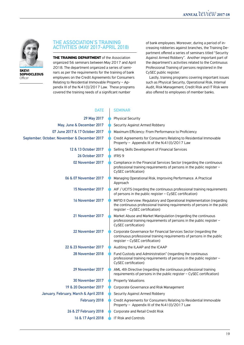

**Skevi Sophocleous Officer** 

#### **THE ASSOCIATION'S TRAINING ACTIVITIES (MAY 2017-APRIL 2018)**

**THE TRAINING DEPARTMENT** of the Association organized 56 seminars between May 2017 and April 2018. The department organized a series of seminars as per the requirements for the training of bank employees on the Credit Agreements for Consumers Relating to Residential Immovable Property – Appendix III of the N.41(I)/2017 Law. These programs covered the training needs of a significant number

of bank employees. Moreover, during a period of increasing robberies against branches, the Training Department offered a series of seminars titled "Security Against Armed Robbery". Another important part of the department's activities related to the Continuous Professional Training of persons registered in the CySEC public register.

Lastly, training programs covering important issues such as Physical Security, Operational Risk, Internal Audit, Risk Management, Credit Risk and IT Risk were also offered to employees of member banks.

| <b>DATE</b>                                  | <b>SEMINAR</b>                                                                                                                                                                           |
|----------------------------------------------|------------------------------------------------------------------------------------------------------------------------------------------------------------------------------------------|
| 29 May 2017                                  | <b>Physical Security</b>                                                                                                                                                                 |
| May, June & December 2017                    | Security Against Armed Robbery                                                                                                                                                           |
| 07 June 2017 & 17 October 2017               | Maximum Efficiency: From Performance to Proficiency                                                                                                                                      |
| September, October, November & December 2017 | Credit Agreements for Consumers Relating to Residential Immovable<br>Property - Appendix III of the N.41(I)/2017 Law                                                                     |
| 12 & 13 October 2017                         | Selling Skills Development of Financial Services                                                                                                                                         |
| <b>26 October 2017</b>                       | IFRS 9                                                                                                                                                                                   |
| 02 November 2017                             | Compliance in the Financial Services Sector (regarding the continuous<br>professional training requirements of persons in the public register -<br>CySEC certification)                  |
| 06 & 07 November 2017                        | Managing Operational Risk, Improving Performance. A Practical<br>Approach                                                                                                                |
| 15 November 2017                             | AIF / UCITS (regarding the continuous professional training requirements<br>of persons in the public register - CySEC certification)                                                     |
| 16 November 2017                             | MiFID II Overview: Regulatory and Operational Implementation (regarding<br>the continuous professional training requirements of persons in the public<br>register – CySEC certification) |
| 21 November 2017                             | Market Abuse and Market Manipulation (regarding the continuous<br>professional training requirements of persons in the public register –<br>CySEC certification)                         |
| 22 November 2017                             | Corporate Governance for Financial Services Sector (regarding the<br>continuous professional training requirements of persons in the public<br>register – CySEC certification)           |
| 22 & 23 November 2017                        | Auditing the ILAAP and the ICAAP                                                                                                                                                         |
| 28 November 2018                             | Fund Custody and Administration" (regarding the continuous<br>professional training requirements of persons in the public register -<br>CySEC certification)                             |
| 29 November 2017                             | AML 4th Directive (regarding the continuous professional training<br>requirements of persons in the public register $-$ CySEC certification)                                             |
| 30 November 2017                             | <b>Property Valuations</b>                                                                                                                                                               |
| 19 & 20 December 2017                        | Corporate Governance and Risk Management                                                                                                                                                 |
| January, February, March & April 2018        | Security Against Armed Robbery                                                                                                                                                           |
| February 2018                                | Credit Agreements for Consumers Relating to Residential Immovable<br>Property – Appendix III of the N.41(I)/2017 Law                                                                     |
| 26 & 27 February 2018                        | Corporate and Retail Credit Risk                                                                                                                                                         |
| 16 & 17 April 2018                           | <b>IT Risk and Controls</b>                                                                                                                                                              |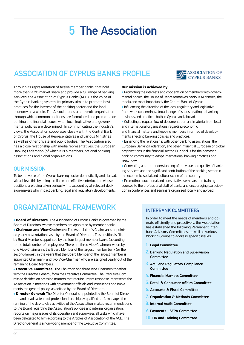# **5 The Association**

# **Association of Cyprus Banks profile**



Through its representation of twelve member banks, that hold more than 90% market share and provide a full range of banking services, the Association of Cyprus Banks (ACB) is the voice of the Cyprus banking system. Its primary aim is to promote best practices for the interest of the banking sector and the local economy as a whole. The Association is a non-profit organization through which common positions are formulated and promoted on banking and financial issues, when local legislative and governmental policies are determined. In communicating the industry's views, the Association cooperates closely with the Central Bank of Cyprus, the House of Representatives and various Ministries as well as other private and public bodies. The Association also has a close relationship with media representatives, the European Banking Federation (of which it is a member), national banking associations and global organizations.

#### **Our Mission**

To be the voice of the Cyprus banking sector domestically and abroad. We achieve this by being a reliable and effective interlocutor, whose positions are being taken seriously into account by all relevant decision-makers who impact banking, legal and regulatory developments.

#### **Our mission is achieved by:**

• Promoting the interests and cooperation of members with governmental bodies, the House of Representatives, various Ministries, the media and most importantly the Central Bank of Cyprus.  $\bullet$  Influencing the direction of the local regulatory and legislative framework concerning a broad range of issues relating to banking business and practices both in Cyprus and abroad.

<sup>l</sup> Collecting a regular flow of documentation and material from local and international organizations regarding economic and financial matters and keeping members informed of developments affecting banking policies and practices.

**Enhancing the relationship with other banking associations, the** European Banking Federation, and other influential European or global organizations in the financial sector. Our goal is for the domestic banking community to adopt international banking practices and know-how.

<sup>l</sup> Generating a better understanding of the value and quality of banking services and the significant contribution of the banking sector in the economic, social and cultural scene of the country.

• Promoting educational and consultative seminars and training courses to the professional staff of banks and encouraging participation in conferences and seminars organized locally and abroad.

# **organizational framework**

**Board of Directors:** The Association of Cyprus Banks is governed by the Board of Directors, whose members are appointed by member banks. **Chairman and Vice-Chairmen:** The Association's Chairman is appointed yearly on a rotation basis by the Board of Directors. This position is filled by Board Members appointed by the four largest member banks (according to the total number of employees). There are three Vice-Chairmen, whereby one Vice-Chairman is the Board Member of the largest member bank (or the second-largest, in the years that the Board Member of the largest member is appointed Chairman), and two Vice-Chairmen who are assigned yearly out of the remaining Board Members.

**Executive Committee:** The Chairman and three Vice-Chairmen together with the Director General, form the Executive Committee. The Executive Committee decides on pressing matters that require urgent response, represents the Association in meetings with government officials and institutions and implements the general policy, as defined by the Board of Directors.

**• Director General:** The Director General is appointed by the Board of Directors and heads a team of professional and highly qualified staff, manages the running of the day-to-day activities of the Association, makes recommendations to the Board regarding the Association's policies and internal organization, reports on major issues of its operation and supervises all tasks which have been delegated to him according to the Articles of Association of the ACB. The Director General is a non-voting member of the Executive Committee.

#### **INTERBANK COMMITTEES**

In order to meet the needs of members and operate efficiently and proactively, the Association has established the following Permanent Interbank Advisory Committees, as well as various Working Groups to address specific issues.

- **1.** Legal Committee
- **2.** Banking Regulation and Supervision **Committee**
- **3.** AML and Regulatory Compliance **Committee**
- **4.** Financial Markets Committee
- **5.** Retail & Consumer Affairs Committee
- **6.** Accounts & Fiscal Committee
- **7.** Organization & Methods Committee
- **8.** Internal Audit Committee
- **9.** Payments SEPA Committee
- **10.** HR and Training Committee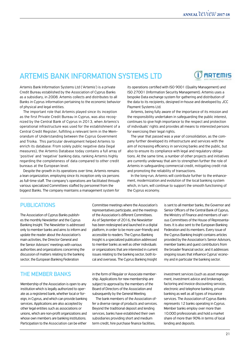**RDTFMIS** 

### **Artemis Bank Information Systems Ltd**

Artemis Bank Information Systems Ltd ('Artemis') is a private Credit Bureau established by the Association of Cyprus Banks as a subsidiary, in 2008. Artemis collects and distributes to all Banks in Cyprus information pertaining to the economic behavior of physical and legal entities.

The important role that Artemis played since its inception as the first Private Credit Bureau in Cyprus, was also recognized by the Central Bank of Cyprus in 2013, when Artemis's operational infrastructure was used for the establishment of a Central Credit Register, fulfilling a relevant term in the Memorandum of Understanding between the Cyprus Government and Troika. This particular development helped Artemis to enrich its database: From solely public negative data (legal measures), the Artemis Database today contains a full array of 'positive' and 'negative' banking data, ranking Artemis highly regarding the completeness of data compared to other credit bureaus at the European level.

Despite the growth in its operations over time, Artemis remains a lean organization, employing since its inception only six persons as full-time staff. The company's operations are facilitated through various specialized Committees staffed by personnel from the biggest Banks. The company maintains a management system for

its operations certified with ISO 9001 (Quality Management) and ISO 27001 (Information Security Management). Artemis uses a bespoke Data exchange system for gathering and distribution of the data to its recipients, designed in-house and developed by JCC Payment Systems Ltd.

Artemis, being fully aware of the importance of its mission and the responsibility undertaken in safeguarding the public interest, continues to give high importance to the respect and protection of individuals' rights and provides all means to interested persons for exercising their legal rights.

The year that passed was a year of consolidation, as the company further developed its infrastructure and services with the aim of increasing efficiency in servicing banks and the public, but also to ensure its compliance with legal and regulatory obligations. At the same time, a number of other projects and initiatives are currently underway that aim to strengthen further the role of Artemis in safeguarding commercial credit, mitigating credit risk and promoting the reliability of transactions.

In the long-run, Artemis will contribute further to the enhancement, modernization and evolution of the local banking system which, in turn, will continue to support the smooth functioning of the Cyprus economy.

#### **PUBLICATIONS**

The Association of Cyprus Banks publishes the monthly Newsletter and the Cyprus Banking Insight. The Newsletter is addressed only to member banks and aims to inform and update the reader about the Association's main activities, the Director General and the Senior Advisors' meetings with various authorities and organizations concerning the discussion of matters relating to the banking sector, the European Banking Federation

Committee meetings where the Association's representatives participate, and the meetings of the Association's different Committees. As of September of 2016, the Newsletter has been redesigned and launched in a digital platform, in order to be more user-friendly and accessible to readers. The Cyprus Banking Insight is a specialized publication addressed to member banks as well as other individuals or organizations that are interested in current issues relating to the banking sector, both local and overseas. The Cyprus Banking Insight

### **The Member Banks**

Membership of the Association is open to any institution which is legally authorized to operate as a registered bank, whether local or foreign, in Cyprus, and which can provide banking services. Applications are also accepted by other legal entities such as associations or unions, which are non-profit organizations and whose own members are banking institutions. Participation to the Association can be either

in the form of Regular or Associate membership. Applications for new membership are subject to approval by the members of the Board of Directors of the Association and subsequently by the General Meeting.

The bank members of the Association offer a diverse range of products and services. Beyond the traditional deposit and lending services, banks have established their own subsidiaries providing short and medium term credit, hire purchase finance facilities,

is sent to all member banks, the Governor and Senior Officers of the Central Bank of Cyprus, the Ministry of Finance and members of various Committees of the House of Representatives. It is also sent to the European Banking Federation and its members. Every issue of the Cyprus Banking Insight contains articles provided by the Association's Senior Advisors, member banks and guest contributors from the broader financial sector, and it addresses ongoing issues that influence Cyprus' economy and in particular the banking sector.

investment services (such as asset management, investment advice and brokerage), factoring and invoice discounting services, electronic and telephone banking, private banking as well as all types of insurance services. The Association of Cyprus Banks represents 12 banks operating in Cyprus. Member banks employ over more than 10.000 professionals and hold a market share of more than 90% in terms of local lending and deposits.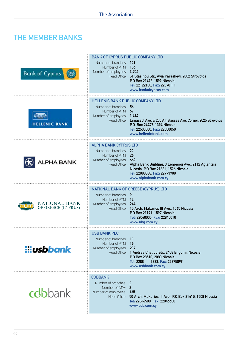# **THE MEMBER BANKS**

| <b>Bank of Cyprus</b>                      | <b>BANK OF CYPRUS PUBLIC COMPANY LTD</b><br>Number of branches: 121<br>Number of ATM: 156<br>Number of employees: 3,704 | Head Office: 51 Stasinou Str., Ayia Paraskevi, 2002 Strovolos<br>P.O.Box 21472, 1599 Nicosia<br>Tel: 22122100, Fax: 22378111<br>www.bankofcyprus.com             |
|--------------------------------------------|-------------------------------------------------------------------------------------------------------------------------|------------------------------------------------------------------------------------------------------------------------------------------------------------------|
| <b>ELLENIC BANK</b>                        | <b>HELLENIC BANK PUBLIC COMPANY LTD</b><br>Number of branches: 56<br>Number of ATM: 67<br>Number of employees: 1,414    | Head Office: Limassol Ave. & 200 Athalassas Ave. Corner. 2025 Strovolos<br>P.O. Box 24747, 1394 Nicosia<br>Tel: 22500000, Fax: 22500050<br>www.hellenicbank.com  |
| ALPHA BANK                                 | <b>ALPHA BANK CYPRUS LTD</b><br>Number of branches: 22<br>Number of ATM: 26<br>Number of employees: 662                 | Head Office: Alpha Bank Building, 3 Lemesou Ave., 2112 Aglantzia<br>Nicosia, P.O.Box 21661, 1596 Nicosia<br>Tel: 22888888, Fax: 22773788<br>www.alphabank.com.cy |
| <b>NATIONAL BANK</b><br>OF GREECE (CYPRUS) | Number of branches: 9<br>Number of ATM: 12<br>Number of employees: 244                                                  | NATIONAL BANK OF GREECE (CYPRUS) LTD<br>Head Office: 15 Arch. Makarios III Ave., 1065 Nicosia<br>P.O.Box 21191, 1597 Nicosia                                     |
|                                            |                                                                                                                         | Tel: 22040000, Fax: 22840010<br>www.nbg.com.cy                                                                                                                   |
| <b>iliusbbank</b>                          | <b>USB BANK PLC</b><br>Number of branches: 13<br>Number of ATM: 16<br>Number of employees: 237                          | Head Office: 1 Andrea Chaliou Str., 2408 Engomi, Nicosia<br>P.O.Box 28510, 2080 Nicosia<br>3333, Fax: 22875899<br>Tel: 2288<br>www.usbbank.com.cy                |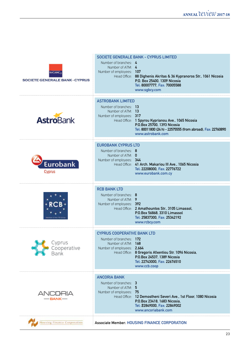### **ANNUAL**  $\mathcal{U}\text{C}\mathcal{V}\text{C}\mathcal{W}$  2017-18

| sgBc<br><b>SOCIETE GENERALE BANK - CYPRUS</b> | <b>SOCIETE GENERALE BANK - CYPRUS LIMITED</b><br>Number of branches: 4<br>Number of ATM: 4<br>Number of employees: 107<br>Head Office: 88 Dighenis Akritas & 36 Kypranoros Str., 1061 Nicosia<br>P.O. Box 25400, 1309 Nicosia<br>Tel: 80007777, Fax: 70005588<br>www.sgbcy.com |  |
|-----------------------------------------------|--------------------------------------------------------------------------------------------------------------------------------------------------------------------------------------------------------------------------------------------------------------------------------|--|
| <b>AstroBank</b>                              | <b>ASTROBANK LIMITED</b><br>Number of branches: 13<br>Number of ATM: 13<br>Number of employees: 317<br>Head Office: 1 Spyrou Kyprianou Ave., 1065 Nicosia<br>P.O.Box 25700, 1393 Nicosia<br>Tel: 80011800 (24 h) - 22575555 (from abroad), Fax: 22760890<br>www.astrobank.com  |  |
| Eurobank<br>Cyprus                            | <b>EUROBANK CYPRUS LTD</b><br>Number of branches: 8<br>Number of ATM: 0<br>Number of employees: 344<br>Head Office: 41 Arch. Makariou III Ave., 1065 Nicosia<br>Tel: 22208000, Fax: 22776722<br>www.eurobank.com.cy                                                            |  |
|                                               | <b>RCB BANK LTD</b><br>Number of branches: 8<br>Number of ATM: 9<br>Number of employees: 392<br>Head Office: 2 Amathountos Str., 3105 Limassol,<br>P.O.Box 56868, 3310 Limassol<br>Tel: 25837300, Fax: 25342192<br>www.rcbcy.com                                               |  |
| Cyprus<br>Cooperative<br>Bank                 | <b>CYPRUS COOPERATIVE BANK LTD</b><br>Number of branches: 172<br>Number of ATM: 168<br>Number of employees: 2,664<br>Head Office: 8 Gregoris Afxentiou Str. 1096 Nicosia,<br>P.O.Box 24537, 1389 Nicosia<br>Tel: 22743000, Fax: 22676510<br>www.ccb.coop                       |  |
| ANCORIA<br>– BANK —                           | <b>ANCORIA BANK</b><br>Number of branches: 3<br>Number of ATM: 5<br>Number of employees: 75<br>Head Office: 12 Demostheni Severi Ave., 1st Floor, 1080 Nicosia<br>P.O.Box 23418, 1683 Nicosia,<br>Tel: 22849000, Fax: 22849002<br>www.ancoriabank.com                          |  |
| lousing Finance Corporation                   | <b>Associate Member: HOUSING FINANCE CORPORATION</b>                                                                                                                                                                                                                           |  |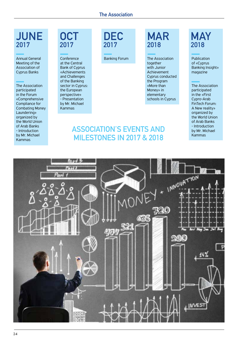# **JUNE 2017**

Annual General Meeting of the Association of Cyprus Banks

The Association participated in the Forum «Comprehensive Compliance for Combating Money Laundering» organized by the World Union of Arab Banks - Introduction by Mr. Michael Kammas

### **OCT 2017**

Conference at the Central Bank of Cyprus «Achievements and Challenges of the Banking sector in Cyprus: the European perspective» - Presentation by Mr. Michael Kammas

**DEC 2017**

# **MAR 2018**

Banking Forum The Association together with Junior Achievement Cyprus conducted the Program «More than Money» in elementary schools in Cyprus

### **Association's events and milestones in 2017 & 2018**

# **MAY 2018**

Publication of «Cyprus Banking Insight» magazine

The Association participated in the «First Cypro-Arab FinTech Forum: A New reality» organized by the World Union of Arab Banks - Introduction by Mr. Michael Kammas

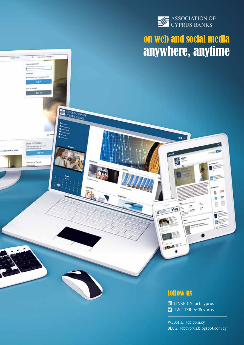

# on web and social media anywhere, anytime

 $\bullet$ 

 $\mathbb{Z}$ 

 $6109$ 

西

шă Ho. ۵

Have an account 1.46 St

ASSOCIATION OF

s

ъ

New to Twitter? on such manner the spins or

**Viceguige** Trans

**Sunt Syte** 

冨

### follow us

**LINKEDIN:** acbcyprus **T** TWITTER: ACBcyprus

WEBSITE: acb.com.cy BLOG: acbcyprus.blogspot.com.cy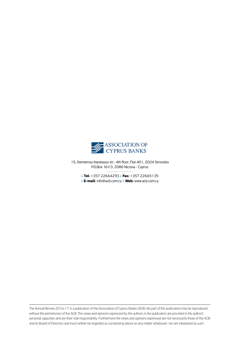

15, Demetriou Karatasou str., 4th floor, Flat 401, 2024 Strovolos P.O.Box 16113, 2086 Nicosia - Cyprus

**Tel:** +357 22664293 **Fax:** +357 22665135 **E-mail:** info@acb.com.cy • Web: www.acb.com.cy

The Annual Review 2016-17 is a publication of the Association of Cyprus Banks (ACB). No part of this publication may be reproduced without the permeission of the ACB. The views and opinions expressed by the authors in the publication are provided in the authors' personal capacities and are their sole responsibility. Furthermore the views and opinions expressed are not necessarily those of the ACB and its Board of Directors and must neither be regarded as constituting advice on any matter whatsover, nor are interpeted as such.